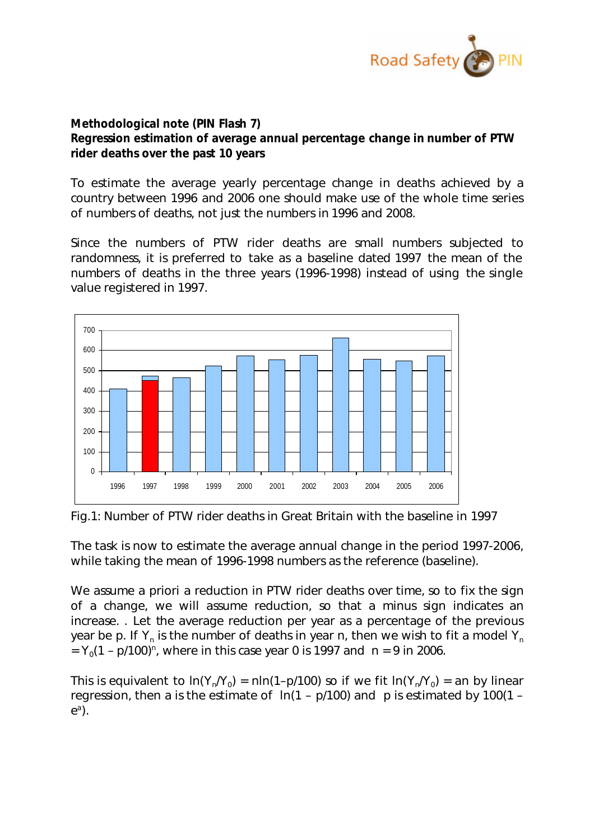

## **Methodological note (PIN Flash 7) Regression estimation of average annual percentage change in number of PTW rider deaths over the past 10 years**

To estimate the average yearly percentage change in deaths achieved by a country between 1996 and 2006 one should make use of the whole time series of numbers of deaths, not just the numbers in 1996 and 2008.

Since the numbers of PTW rider deaths are small numbers subjected to randomness, it is preferred to take as a baseline dated 1997 the mean of the numbers of deaths in the three years (1996-1998) instead of using the single value registered in 1997.



Fig.1: Number of PTW rider deaths in Great Britain with the baseline in 1997

The task is now to estimate the average annual change in the period 1997-2006, while taking the mean of 1996-1998 numbers as the reference (baseline).

We assume a priori a reduction in PTW rider deaths over time, so to fix the sign of a change, we will assume reduction, so that a minus sign indicates an increase. . Let the average reduction per year as a percentage of the previous year be *p*. If  $Y_n$  is the number of deaths in year *n*, then we wish to fit a model  $Y_n$  $= Y_0(1 - p/100)^n$ , where in this case year 0 is 1997 and  $n = 9$  in 2006.

This is equivalent to  $\ln(Y_n/Y_0) = n \ln(1-p/100)$  so if we fit  $\ln(Y_n/Y_0) = an$  by linear regression, then *a* is the estimate of ln(1 – *p*/100) and *p* is estimated by 100(1 – *e a* ).